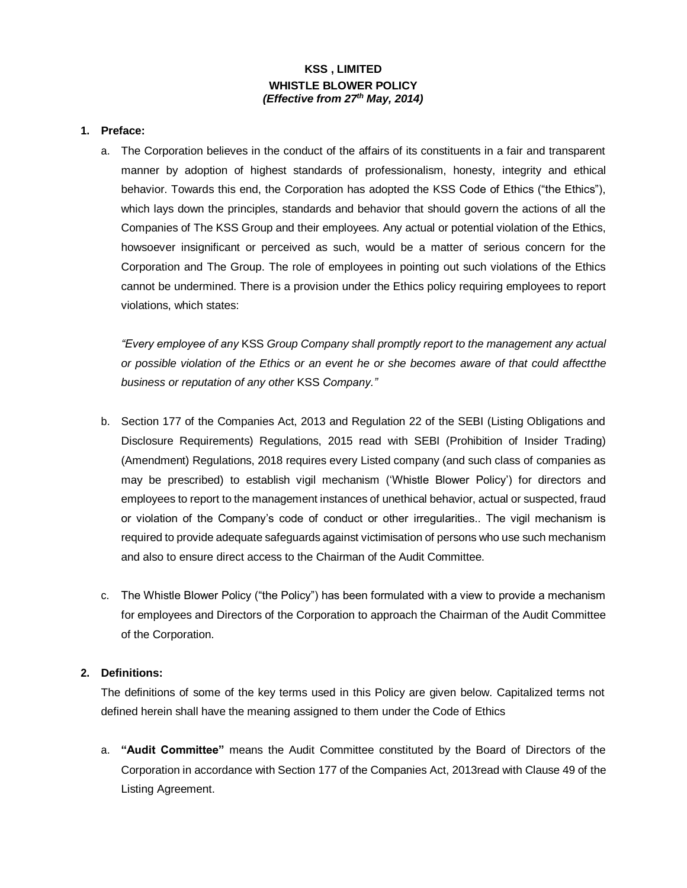# **KSS , LIMITED WHISTLE BLOWER POLICY** *(Effective from 27th May, 2014)*

#### **1. Preface:**

a. The Corporation believes in the conduct of the affairs of its constituents in a fair and transparent manner by adoption of highest standards of professionalism, honesty, integrity and ethical behavior. Towards this end, the Corporation has adopted the KSS Code of Ethics ("the Ethics"), which lays down the principles, standards and behavior that should govern the actions of all the Companies of The KSS Group and their employees. Any actual or potential violation of the Ethics, howsoever insignificant or perceived as such, would be a matter of serious concern for the Corporation and The Group. The role of employees in pointing out such violations of the Ethics cannot be undermined. There is a provision under the Ethics policy requiring employees to report violations, which states:

*"Every employee of any* KSS *Group Company shall promptly report to the management any actual or possible violation of the Ethics or an event he or she becomes aware of that could affectthe business or reputation of any other* KSS *Company."*

- b. Section 177 of the Companies Act, 2013 and Regulation 22 of the SEBI (Listing Obligations and Disclosure Requirements) Regulations, 2015 read with SEBI (Prohibition of Insider Trading) (Amendment) Regulations, 2018 requires every Listed company (and such class of companies as may be prescribed) to establish vigil mechanism ('Whistle Blower Policy') for directors and employees to report to the management instances of unethical behavior, actual or suspected, fraud or violation of the Company's code of conduct or other irregularities.. The vigil mechanism is required to provide adequate safeguards against victimisation of persons who use such mechanism and also to ensure direct access to the Chairman of the Audit Committee.
- c. The Whistle Blower Policy ("the Policy") has been formulated with a view to provide a mechanism for employees and Directors of the Corporation to approach the Chairman of the Audit Committee of the Corporation.

### **2. Definitions:**

The definitions of some of the key terms used in this Policy are given below. Capitalized terms not defined herein shall have the meaning assigned to them under the Code of Ethics

a. **"Audit Committee"** means the Audit Committee constituted by the Board of Directors of the Corporation in accordance with Section 177 of the Companies Act, 2013read with Clause 49 of the Listing Agreement.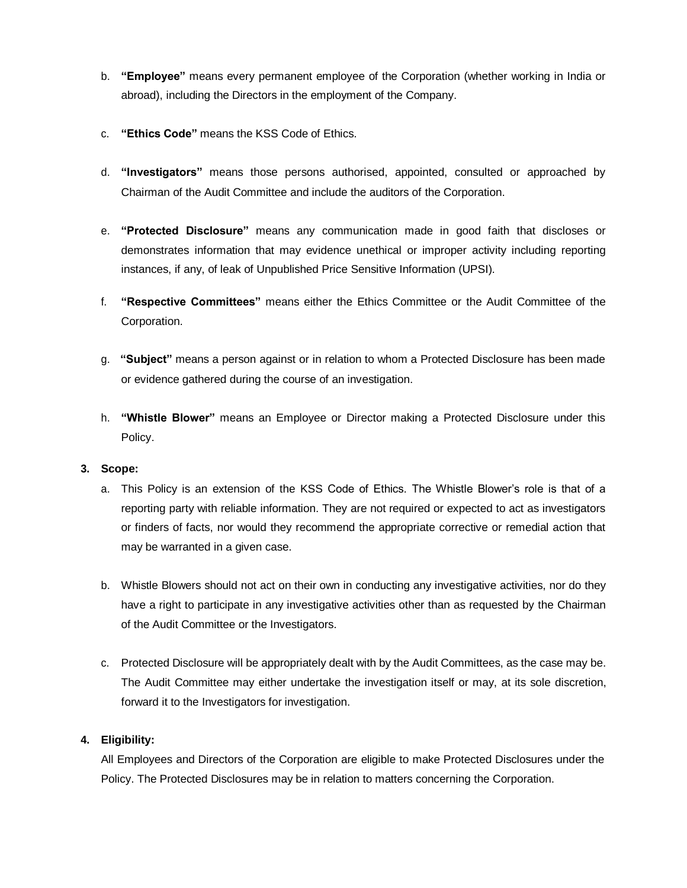- b. **"Employee"** means every permanent employee of the Corporation (whether working in India or abroad), including the Directors in the employment of the Company.
- c. **"Ethics Code"** means the KSS Code of Ethics.
- d. **"Investigators"** means those persons authorised, appointed, consulted or approached by Chairman of the Audit Committee and include the auditors of the Corporation.
- e. **"Protected Disclosure"** means any communication made in good faith that discloses or demonstrates information that may evidence unethical or improper activity including reporting instances, if any, of leak of Unpublished Price Sensitive Information (UPSI).
- f. **"Respective Committees"** means either the Ethics Committee or the Audit Committee of the Corporation.
- g. **"Subject"** means a person against or in relation to whom a Protected Disclosure has been made or evidence gathered during the course of an investigation.
- h. **"Whistle Blower"** means an Employee or Director making a Protected Disclosure under this Policy.

### **3. Scope:**

- a. This Policy is an extension of the KSS Code of Ethics. The Whistle Blower's role is that of a reporting party with reliable information. They are not required or expected to act as investigators or finders of facts, nor would they recommend the appropriate corrective or remedial action that may be warranted in a given case.
- b. Whistle Blowers should not act on their own in conducting any investigative activities, nor do they have a right to participate in any investigative activities other than as requested by the Chairman of the Audit Committee or the Investigators.
- c. Protected Disclosure will be appropriately dealt with by the Audit Committees, as the case may be. The Audit Committee may either undertake the investigation itself or may, at its sole discretion, forward it to the Investigators for investigation.

### **4. Eligibility:**

All Employees and Directors of the Corporation are eligible to make Protected Disclosures under the Policy. The Protected Disclosures may be in relation to matters concerning the Corporation.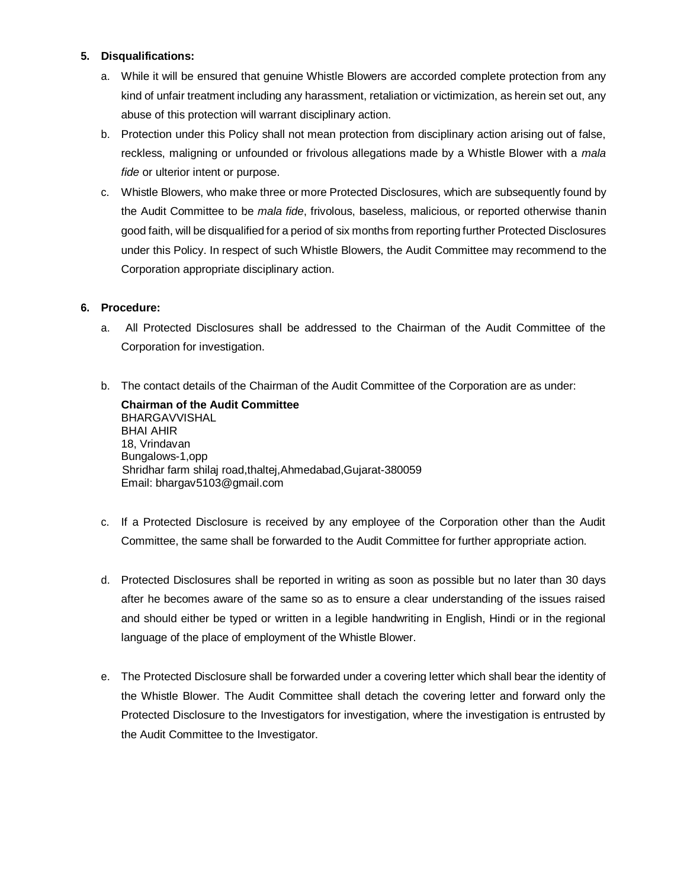### **5. Disqualifications:**

- a. While it will be ensured that genuine Whistle Blowers are accorded complete protection from any kind of unfair treatment including any harassment, retaliation or victimization, as herein set out, any abuse of this protection will warrant disciplinary action.
- b. Protection under this Policy shall not mean protection from disciplinary action arising out of false, reckless, maligning or unfounded or frivolous allegations made by a Whistle Blower with a *mala fide* or ulterior intent or purpose.
- c. Whistle Blowers, who make three or more Protected Disclosures, which are subsequently found by the Audit Committee to be *mala fide*, frivolous, baseless, malicious, or reported otherwise thanin good faith, will be disqualified for a period of six months from reporting further Protected Disclosures under this Policy. In respect of such Whistle Blowers, the Audit Committee may recommend to the Corporation appropriate disciplinary action.

## **6. Procedure:**

- a. All Protected Disclosures shall be addressed to the Chairman of the Audit Committee of the Corporation for investigation.
- b. The contact details of the Chairman of the Audit Committee of the Corporation are as under:

**Chairman of the Audit Committee** BHARGAVVISHAL BHAI AHIR 18, Vrindavan Bungalows-1,opp Shridhar farm shilaj road,thaltej,Ahmedabad,Gujarat-380059 Email: bhargav5103@gmail.com

- c. If a Protected Disclosure is received by any employee of the Corporation other than the Audit Committee, the same shall be forwarded to the Audit Committee for further appropriate action.
- d. Protected Disclosures shall be reported in writing as soon as possible but no later than 30 days after he becomes aware of the same so as to ensure a clear understanding of the issues raised and should either be typed or written in a legible handwriting in English, Hindi or in the regional language of the place of employment of the Whistle Blower.
- e. The Protected Disclosure shall be forwarded under a covering letter which shall bear the identity of the Whistle Blower. The Audit Committee shall detach the covering letter and forward only the Protected Disclosure to the Investigators for investigation, where the investigation is entrusted by the Audit Committee to the Investigator.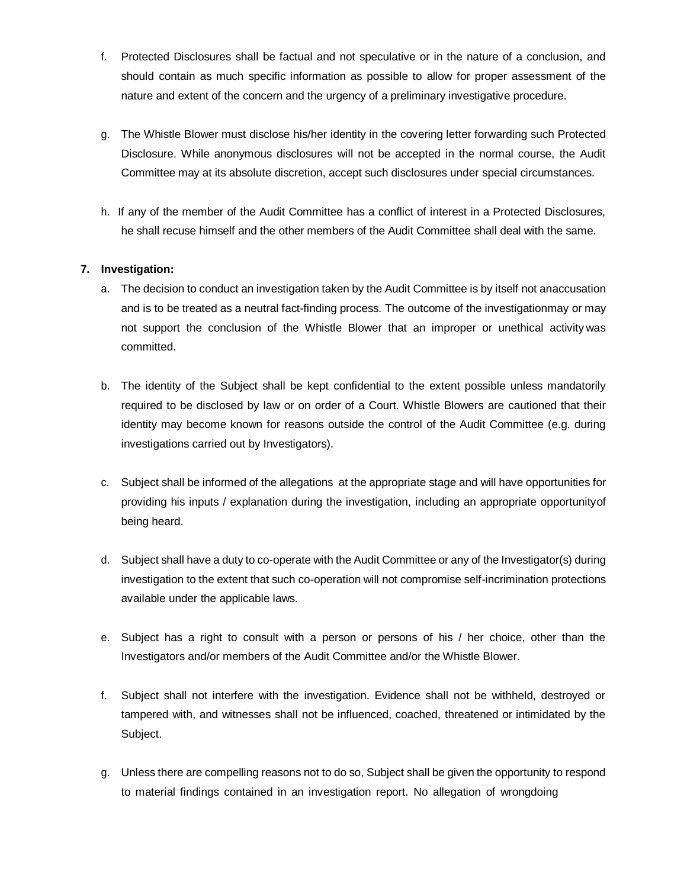- f. Protected Disclosures shall be factual and not speculative or in the nature of a conclusion, and should contain as much specific information as possible to allow for proper assessment of the nature and extent of the concern and the urgency of a preliminary investigative procedure.
- g. The Whistle Blower must disclose his/her identity in the covering letter forwarding such Protected Disclosure. While anonymous disclosures will not be accepted in the normal course, the Audit Committee may at its absolute discretion, accept such disclosures under special circumstances.
- h. If any of the member of the Audit Committee has a conflict of interest in a Protected Disclosures, he shall recuse himself and the other members of the Audit Committee shall deal with the same.

### **7. Investigation:**

- a. The decision to conduct an investigation taken by the Audit Committee is by itself not anaccusation and is to be treated as a neutral fact-finding process. The outcome of the investigationmay or may not support the conclusion of the Whistle Blower that an improper or unethical activity was committed.
- b. The identity of the Subject shall be kept confidential to the extent possible unless mandatorily required to be disclosed by law or on order of a Court. Whistle Blowers are cautioned that their identity may become known for reasons outside the control of the Audit Committee (e.g. during investigations carried out by Investigators).
- c. Subject shall be informed of the allegations at the appropriate stage and will have opportunities for providing his inputs / explanation during the investigation, including an appropriate opportunityof being heard.
- d. Subject shall have a duty to co-operate with the Audit Committee or any of the Investigator(s) during investigation to the extent that such co-operation will not compromise self-incrimination protections available under the applicable laws.
- e. Subject has a right to consult with a person or persons of his / her choice, other than the Investigators and/or members of the Audit Committee and/or the Whistle Blower.
- f. Subject shall not interfere with the investigation. Evidence shall not be withheld, destroyed or tampered with, and witnesses shall not be influenced, coached, threatened or intimidated by the Subject.
- g. Unless there are compelling reasons not to do so, Subject shall be given the opportunity to respond to material findings contained in an investigation report. No allegation of wrongdoing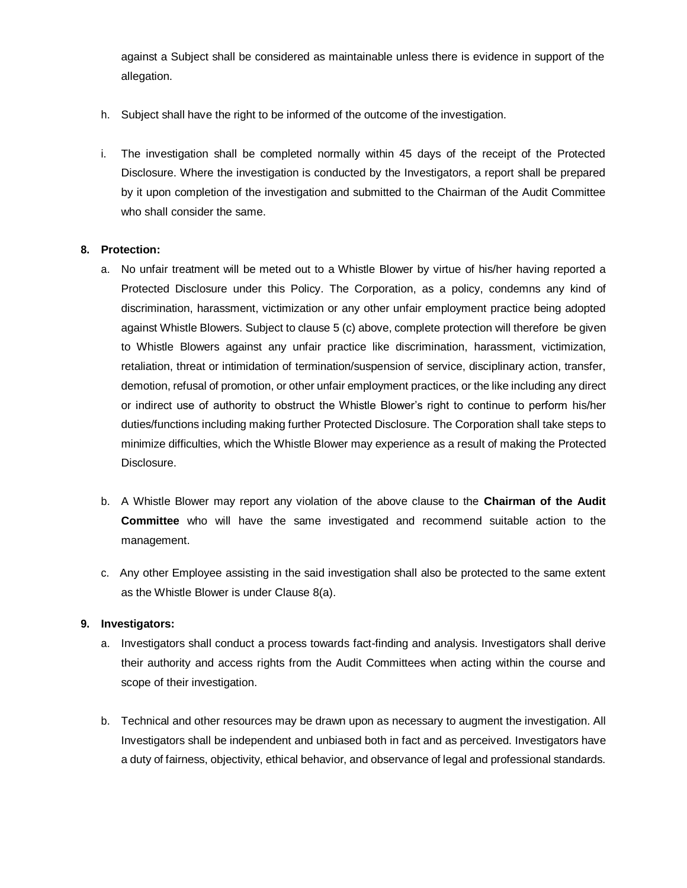against a Subject shall be considered as maintainable unless there is evidence in support of the allegation.

- h. Subject shall have the right to be informed of the outcome of the investigation.
- i. The investigation shall be completed normally within 45 days of the receipt of the Protected Disclosure. Where the investigation is conducted by the Investigators, a report shall be prepared by it upon completion of the investigation and submitted to the Chairman of the Audit Committee who shall consider the same.

### **8. Protection:**

- a. No unfair treatment will be meted out to a Whistle Blower by virtue of his/her having reported a Protected Disclosure under this Policy. The Corporation, as a policy, condemns any kind of discrimination, harassment, victimization or any other unfair employment practice being adopted against Whistle Blowers. Subject to clause 5 (c) above, complete protection will therefore be given to Whistle Blowers against any unfair practice like discrimination, harassment, victimization, retaliation, threat or intimidation of termination/suspension of service, disciplinary action, transfer, demotion, refusal of promotion, or other unfair employment practices, or the like including any direct or indirect use of authority to obstruct the Whistle Blower's right to continue to perform his/her duties/functions including making further Protected Disclosure. The Corporation shall take steps to minimize difficulties, which the Whistle Blower may experience as a result of making the Protected Disclosure.
- b. A Whistle Blower may report any violation of the above clause to the **Chairman of the Audit Committee** who will have the same investigated and recommend suitable action to the management.
- c. Any other Employee assisting in the said investigation shall also be protected to the same extent as the Whistle Blower is under Clause 8(a).

### **9. Investigators:**

- a. Investigators shall conduct a process towards fact-finding and analysis. Investigators shall derive their authority and access rights from the Audit Committees when acting within the course and scope of their investigation.
- b. Technical and other resources may be drawn upon as necessary to augment the investigation. All Investigators shall be independent and unbiased both in fact and as perceived. Investigators have a duty of fairness, objectivity, ethical behavior, and observance of legal and professional standards.